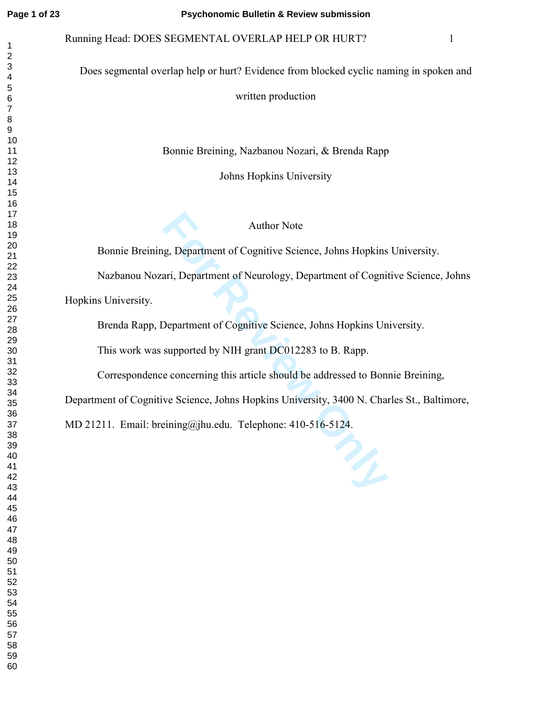## Running Head: DOES SEGMENTAL OVERLAP HELP OR HURT? 1

Does segmental overlap help or hurt? Evidence from blocked cyclic naming in spoken and

written production

Bonnie Breining, Nazbanou Nozari, & Brenda Rapp

Johns Hopkins University

# Author Note

Author Note<br>
g, Department of Cognitive Science, Johns Hopkins<br>
ari, Department of Neurology, Department of Cognit<br>
Department of Cognitive Science, Johns Hopkins Un<br>
supported by NIH grant DC012283 to B. Rapp.<br>
e concerni Bonnie Breining, Department of Cognitive Science, Johns Hopkins University.

Nazbanou Nozari, Department of Neurology, Department of Cognitive Science, Johns

Hopkins University.

Brenda Rapp, Department of Cognitive Science, Johns Hopkins University.

This work was supported by NIH grant DC012283 to B. Rapp.

Correspondence concerning this article should be addressed to Bonnie Breining,

Department of Cognitive Science, Johns Hopkins University, 3400 N. Charles St., Baltimore,

MD 21211. Email: breining@jhu.edu. Telephone: 410-516-5124.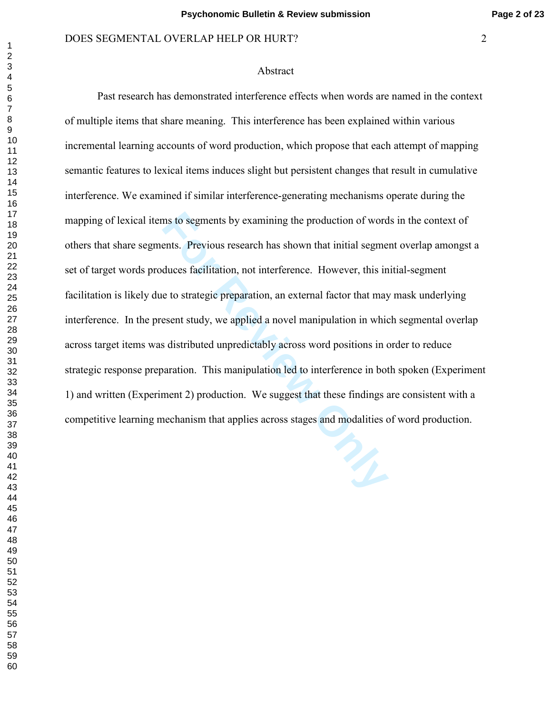#### Abstract

ms to segments by examining the production of word<br>ents. Previous research has shown that initial segment<br>duces facilitation, not interference. However, this in<br>e to strategic preparation, an external factor that may<br>esent Past research has demonstrated interference effects when words are named in the context of multiple items that share meaning. This interference has been explained within various incremental learning accounts of word production, which propose that each attempt of mapping semantic features to lexical items induces slight but persistent changes that result in cumulative interference. We examined if similar interference-generating mechanisms operate during the mapping of lexical items to segments by examining the production of words in the context of others that share segments. Previous research has shown that initial segment overlap amongst a set of target words produces facilitation, not interference. However, this initial-segment facilitation is likely due to strategic preparation, an external factor that may mask underlying interference. In the present study, we applied a novel manipulation in which segmental overlap across target items was distributed unpredictably across word positions in order to reduce strategic response preparation. This manipulation led to interference in both spoken (Experiment 1) and written (Experiment 2) production. We suggest that these findings are consistent with a competitive learning mechanism that applies across stages and modalities of word production.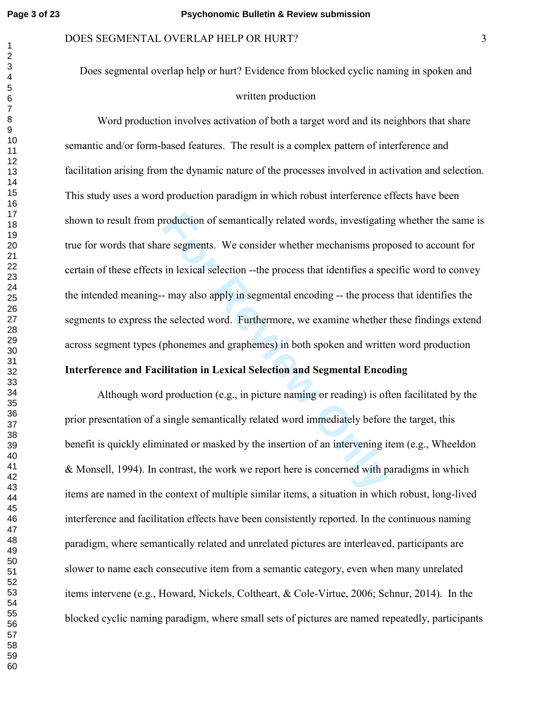### DOES SEGMENTAL OVERLAP HELP OR HURT?

Does segmental overlap help or hurt? Evidence from blocked cyclic naming in spoken and written production

roduction of semantically related words, investigatir<br>re segments. We consider whether mechanisms prop<br>in lexical selection --the process that identifies a spe-<br>may also apply in segmental encoding -- the proces<br>e selected Word production involves activation of both a target word and its neighbors that share semantic and/or form-based features. The result is a complex pattern of interference and facilitation arising from the dynamic nature of the processes involved in activation and selection. This study uses a word production paradigm in which robust interference effects have been shown to result from production of semantically related words, investigating whether the same is true for words that share segments. We consider whether mechanisms proposed to account for certain of these effects in lexical selection --the process that identifies a specific word to convey the intended meaning-- may also apply in segmental encoding -- the process that identifies the segments to express the selected word. Furthermore, we examine whether these findings extend across segment types (phonemes and graphemes) in both spoken and written word production **Interference and Facilitation in Lexical Selection and Segmental Encoding** 

Although word production (e.g., in picture naming or reading) is often facilitated by the prior presentation of a single semantically related word immediately before the target, this benefit is quickly eliminated or masked by the insertion of an intervening item (e.g., Wheeldon & Monsell, 1994). In contrast, the work we report here is concerned with paradigms in which items are named in the context of multiple similar items, a situation in which robust, long-lived interference and facilitation effects have been consistently reported. In the continuous naming paradigm, where semantically related and unrelated pictures are interleaved, participants are slower to name each consecutive item from a semantic category, even when many unrelated items intervene (e.g., Howard, Nickels, Coltheart, & Cole-Virtue, 2006; Schnur, 2014). In the blocked cyclic naming paradigm, where small sets of pictures are named repeatedly, participants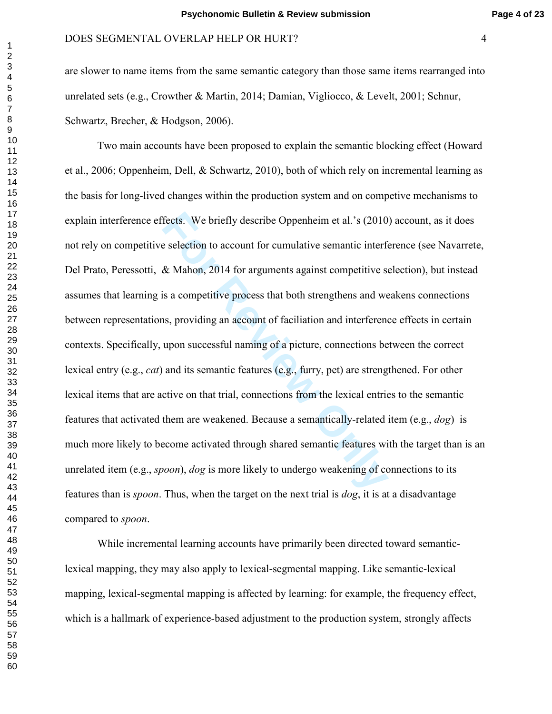are slower to name items from the same semantic category than those same items rearranged into unrelated sets (e.g., Crowther & Martin, 2014; Damian, Vigliocco, & Levelt, 2001; Schnur, Schwartz, Brecher, & Hodgson, 2006).

Fects. We briefly describe Oppenheim et al.'s (2010<br>
e selection to account for cumulative semantic interfor<br>
& Mahon, 2014 for arguments against competitive so<br>
is a competitive process that both strengthens and we<br>
as, p Two main accounts have been proposed to explain the semantic blocking effect (Howard et al., 2006; Oppenheim, Dell, & Schwartz, 2010), both of which rely on incremental learning as the basis for long-lived changes within the production system and on competive mechanisms to explain interference effects. We briefly describe Oppenheim et al.'s (2010) account, as it does not rely on competitive selection to account for cumulative semantic interference (see Navarrete, Del Prato, Peressotti, & Mahon, 2014 for arguments against competitive selection), but instead assumes that learning is a competitive process that both strengthens and weakens connections between representations, providing an account of faciliation and interference effects in certain contexts. Specifically, upon successful naming of a picture, connections between the correct lexical entry (e.g., *cat*) and its semantic features (e.g., furry, pet) are strengthened. For other lexical items that are active on that trial, connections from the lexical entries to the semantic features that activated them are weakened. Because a semantically-related item (e.g., *dog*) is much more likely to become activated through shared semantic features with the target than is an unrelated item (e.g., *spoon*), *dog* is more likely to undergo weakening of connections to its features than is *spoon*. Thus, when the target on the next trial is *dog*, it is at a disadvantage compared to *spoon*.

While incremental learning accounts have primarily been directed toward semanticlexical mapping, they may also apply to lexical-segmental mapping. Like semantic-lexical mapping, lexical-segmental mapping is affected by learning: for example, the frequency effect, which is a hallmark of experience-based adjustment to the production system, strongly affects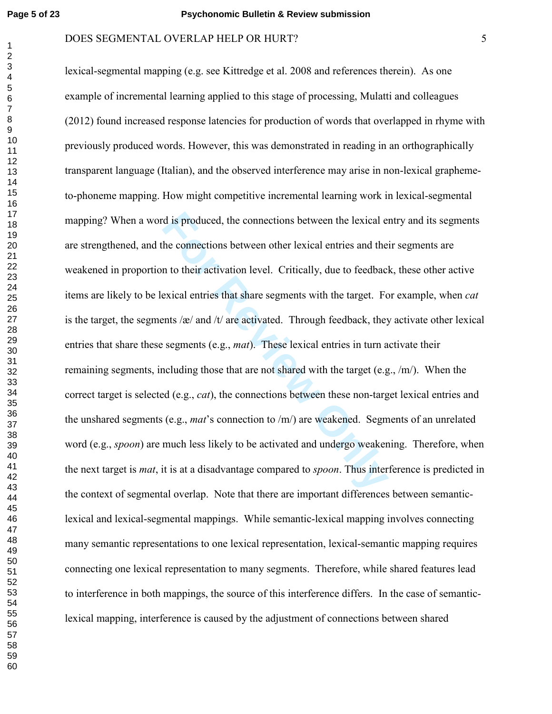d is produced, the connections between the lexical e<br>he connections between other lexical entries and the<br>n to their activation level. Critically, due to feedbac<br>exical entries that share segments with the target. Fc<br>ents lexical-segmental mapping (e.g. see Kittredge et al. 2008 and references therein). As one example of incremental learning applied to this stage of processing, Mulatti and colleagues (2012) found increased response latencies for production of words that overlapped in rhyme with previously produced words. However, this was demonstrated in reading in an orthographically transparent language (Italian), and the observed interference may arise in non-lexical graphemeto-phoneme mapping. How might competitive incremental learning work in lexical-segmental mapping? When a word is produced, the connections between the lexical entry and its segments are strengthened, and the connections between other lexical entries and their segments are weakened in proportion to their activation level. Critically, due to feedback, these other active items are likely to be lexical entries that share segments with the target. For example, when *cat* is the target, the segments  $\alpha$  and  $\beta$  are activated. Through feedback, they activate other lexical entries that share these segments (e.g., *mat*). These lexical entries in turn activate their remaining segments, including those that are not shared with the target (e.g.,  $/m$ ). When the correct target is selected (e.g., *cat*), the connections between these non-target lexical entries and the unshared segments (e.g., *mat*'s connection to /m/) are weakened. Segments of an unrelated word (e.g., *spoon*) are much less likely to be activated and undergo weakening. Therefore, when the next target is *mat*, it is at a disadvantage compared to *spoon*. Thus interference is predicted in the context of segmental overlap. Note that there are important differences between semanticlexical and lexical-segmental mappings. While semantic-lexical mapping involves connecting many semantic representations to one lexical representation, lexical-semantic mapping requires connecting one lexical representation to many segments. Therefore, while shared features lead to interference in both mappings, the source of this interference differs. In the case of semanticlexical mapping, interference is caused by the adjustment of connections between shared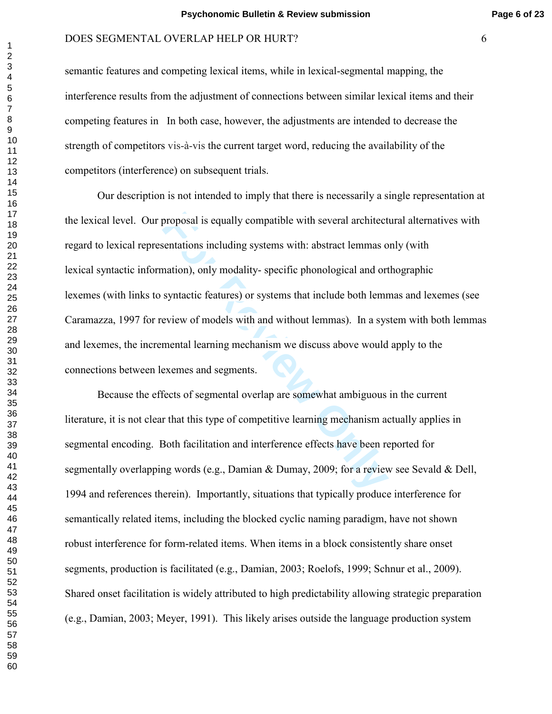semantic features and competing lexical items, while in lexical-segmental mapping, the interference results from the adjustment of connections between similar lexical items and their competing features in In both case, however, the adjustments are intended to decrease the strength of competitors vis-à-vis the current target word, reducing the availability of the competitors (interference) on subsequent trials.

proposal is equally compatible with several architect<br> **Exercutations** including systems with: abstract lemmas o<br>
mation), only modality- specific phonological and ort<br>
syntactic features) or systems that include both lemm Our description is not intended to imply that there is necessarily a single representation at the lexical level. Our proposal is equally compatible with several architectural alternatives with regard to lexical representations including systems with: abstract lemmas only (with lexical syntactic information), only modality- specific phonological and orthographic lexemes (with links to syntactic features) or systems that include both lemmas and lexemes (see Caramazza, 1997 for review of models with and without lemmas). In a system with both lemmas and lexemes, the incremental learning mechanism we discuss above would apply to the connections between lexemes and segments.

Because the effects of segmental overlap are somewhat ambiguous in the current literature, it is not clear that this type of competitive learning mechanism actually applies in segmental encoding. Both facilitation and interference effects have been reported for segmentally overlapping words (e.g., Damian & Dumay, 2009; for a review see Sevald & Dell, 1994 and references therein). Importantly, situations that typically produce interference for semantically related items, including the blocked cyclic naming paradigm, have not shown robust interference for form-related items. When items in a block consistently share onset segments, production is facilitated (e.g., Damian, 2003; Roelofs, 1999; Schnur et al., 2009). Shared onset facilitation is widely attributed to high predictability allowing strategic preparation (e.g., Damian, 2003; Meyer, 1991). This likely arises outside the language production system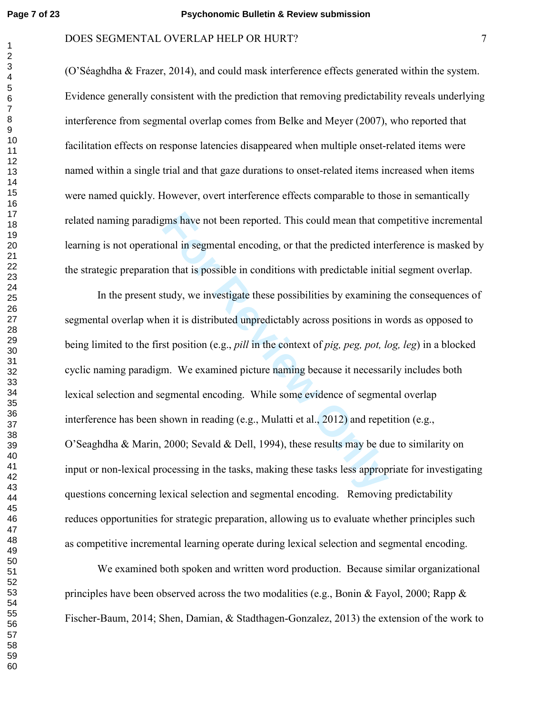(O'Séaghdha & Frazer, 2014), and could mask interference effects generated within the system. Evidence generally consistent with the prediction that removing predictability reveals underlying interference from segmental overlap comes from Belke and Meyer (2007), who reported that facilitation effects on response latencies disappeared when multiple onset-related items were named within a single trial and that gaze durations to onset-related items increased when items were named quickly. However, overt interference effects comparable to those in semantically related naming paradigms have not been reported. This could mean that competitive incremental learning is not operational in segmental encoding, or that the predicted interference is masked by the strategic preparation that is possible in conditions with predictable initial segment overlap.

gms have not been reported. This could mean that co<br>onal in segmental encoding, or that the predicted inter-<br>on that is possible in conditions with predictable initi-<br>tudy, we investigate these possibilities by examining<br>e In the present study, we investigate these possibilities by examining the consequences of segmental overlap when it is distributed unpredictably across positions in words as opposed to being limited to the first position (e.g., *pill* in the context of *pig, peg, pot, log, leg*) in a blocked cyclic naming paradigm. We examined picture naming because it necessarily includes both lexical selection and segmental encoding. While some evidence of segmental overlap interference has been shown in reading (e.g., Mulatti et al., 2012) and repetition (e.g., O'Seaghdha & Marin, 2000; Sevald & Dell, 1994), these results may be due to similarity on input or non-lexical processing in the tasks, making these tasks less appropriate for investigating questions concerning lexical selection and segmental encoding. Removing predictability reduces opportunities for strategic preparation, allowing us to evaluate whether principles such as competitive incremental learning operate during lexical selection and segmental encoding.

We examined both spoken and written word production. Because similar organizational principles have been observed across the two modalities (e.g., Bonin & Fayol, 2000; Rapp & Fischer-Baum, 2014; Shen, Damian, & Stadthagen-Gonzalez, 2013) the extension of the work to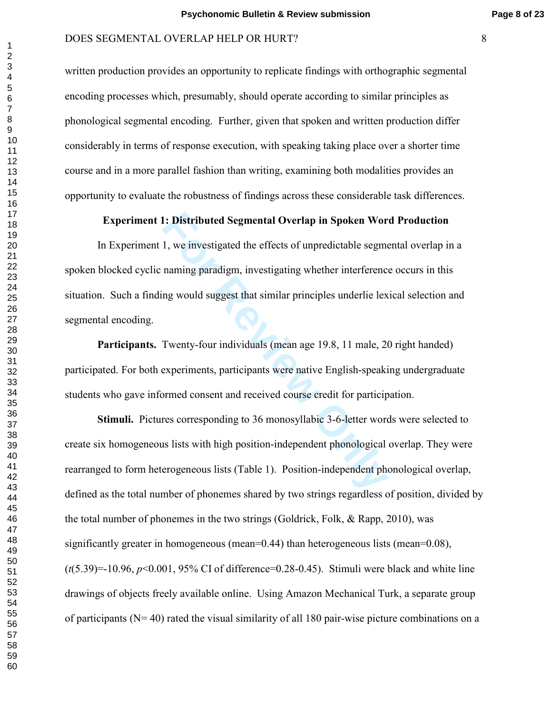written production provides an opportunity to replicate findings with orthographic segmental encoding processes which, presumably, should operate according to similar principles as phonological segmental encoding. Further, given that spoken and written production differ considerably in terms of response execution, with speaking taking place over a shorter time course and in a more parallel fashion than writing, examining both modalities provides an opportunity to evaluate the robustness of findings across these considerable task differences.

## **Experiment 1: Distributed Segmental Overlap in Spoken Word Production**

**Example 1: Distributed Segmental Overlap in Spoken Wor**<br>
1, we investigated the effects of unpredictable segmentaming paradigm, investigating whether interference<br>
ng would suggest that similar principles underlie lex<br>
Tw In Experiment 1, we investigated the effects of unpredictable segmental overlap in a spoken blocked cyclic naming paradigm, investigating whether interference occurs in this situation. Such a finding would suggest that similar principles underlie lexical selection and segmental encoding.

**Participants.** Twenty-four individuals (mean age 19.8, 11 male, 20 right handed) participated. For both experiments, participants were native English-speaking undergraduate students who gave informed consent and received course credit for participation.

**Stimuli.** Pictures corresponding to 36 monosyllabic 3-6-letter words were selected to create six homogeneous lists with high position-independent phonological overlap. They were rearranged to form heterogeneous lists (Table 1). Position-independent phonological overlap, defined as the total number of phonemes shared by two strings regardless of position, divided by the total number of phonemes in the two strings (Goldrick, Folk, & Rapp, 2010), was significantly greater in homogeneous (mean=0.44) than heterogeneous lists (mean=0.08), (*t*(5.39)=-10.96, *p*<0.001, 95% CI of difference=0.28-0.45). Stimuli were black and white line drawings of objects freely available online. Using Amazon Mechanical Turk, a separate group of participants ( $N=40$ ) rated the visual similarity of all 180 pair-wise picture combinations on a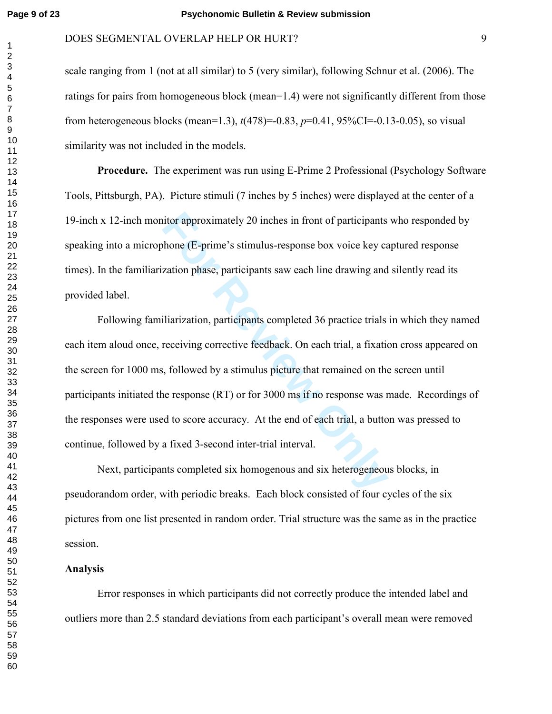$\mathbf{1}$ 

### DOES SEGMENTAL OVERLAP HELP OR HURT?

scale ranging from 1 (not at all similar) to 5 (very similar), following Schnur et al. (2006). The ratings for pairs from homogeneous block (mean=1.4) were not significantly different from those from heterogeneous blocks (mean=1.3), *t*(478)=-0.83, *p*=0.41, 95%CI=-0.13-0.05), so visual similarity was not included in the models.

**Procedure.** The experiment was run using E-Prime 2 Professional (Psychology Software Tools, Pittsburgh, PA). Picture stimuli (7 inches by 5 inches) were displayed at the center of a 19-inch x 12-inch monitor approximately 20 inches in front of participants who responded by speaking into a microphone (E-prime's stimulus-response box voice key captured response times). In the familiarization phase, participants saw each line drawing and silently read its provided label.

itor approximately 20 inches in front of participants<br>
hone (E-prime's stimulus-response box voice key ca<br>
zation phase, participants saw each line drawing and<br>
iliarization, participants completed 36 practice trials<br>
rece Following familiarization, participants completed 36 practice trials in which they named each item aloud once, receiving corrective feedback. On each trial, a fixation cross appeared on the screen for 1000 ms, followed by a stimulus picture that remained on the screen until participants initiated the response (RT) or for 3000 ms if no response was made. Recordings of the responses were used to score accuracy. At the end of each trial, a button was pressed to continue, followed by a fixed 3-second inter-trial interval.

Next, participants completed six homogenous and six heterogeneous blocks, in pseudorandom order, with periodic breaks. Each block consisted of four cycles of the six pictures from one list presented in random order. Trial structure was the same as in the practice session.

### **Analysis**

Error responses in which participants did not correctly produce the intended label and outliers more than 2.5 standard deviations from each participant's overall mean were removed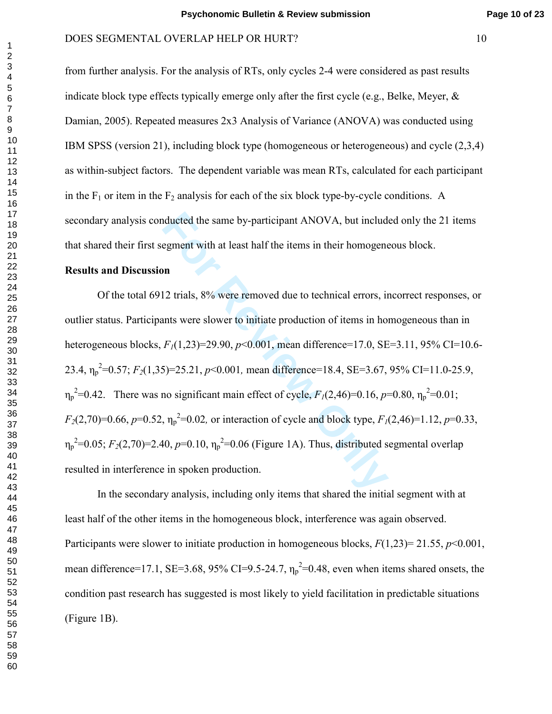from further analysis. For the analysis of RTs, only cycles 2-4 were considered as past results indicate block type effects typically emerge only after the first cycle (e.g., Belke, Meyer,  $\&$ Damian, 2005). Repeated measures 2x3 Analysis of Variance (ANOVA) was conducted using IBM SPSS (version 21), including block type (homogeneous or heterogeneous) and cycle (2,3,4) as within-subject factors. The dependent variable was mean RTs, calculated for each participant in the  $F_1$  or item in the  $F_2$  analysis for each of the six block type-by-cycle conditions. A secondary analysis conducted the same by-participant ANOVA, but included only the 21 items that shared their first segment with at least half the items in their homogeneous block.

## **Results and Discussion**

anducted the same by-participant ANOVA, but includ<br>egment with at least half the items in their homogenes<br>
12 trials, 8% were removed due to technical errors, in<br>
12 trials, 8% were removed due to technical errors, in<br>
15 Of the total 6912 trials, 8% were removed due to technical errors, incorrect responses, or outlier status. Participants were slower to initiate production of items in homogeneous than in heterogeneous blocks, *F1*(1,23)=29.90, *p*<0.001, mean difference=17.0, SE=3.11, 95% CI=10.6- 23.4, η p 2 =0.57; *F2*(1,35)=25.21, *p*<0.001 *,* mean difference=18.4, SE=3.67, 95% CI=11.0-25.9,  $\eta_p^2$ =0.42. There was no significant main effect of cycle,  $F_I(2,46)$ =0.16,  $p$ =0.80,  $\eta_p^2$ =0.01;  $F_2(2,70)=0.66, p=0.52, \eta_p^2=0.02$ , or interaction of cycle and block type,  $F_1(2,46)=1.12, p=0.33$ ,  $\eta_p^2$ =0.05;  $F_2(2,70)$ =2.40,  $p$ =0.10,  $\eta_p^2$ =0.06 (Figure 1A). Thus, distributed segmental overlap resulted in interference in spoken production.

In the secondary analysis, including only items that shared the initial segment with at least half of the other items in the homogeneous block, interference was again observed. Participants were slower to initiate production in homogeneous blocks,  $F(1,23)=21.55, p<0.001$ , mean difference=17.1, SE=3.68, 95% CI=9.5-24.7,  $\eta_p^2$ =0.48, even when items shared onsets, the condition past research has suggested is most likely to yield facilitation in predictable situations (Figure 1B).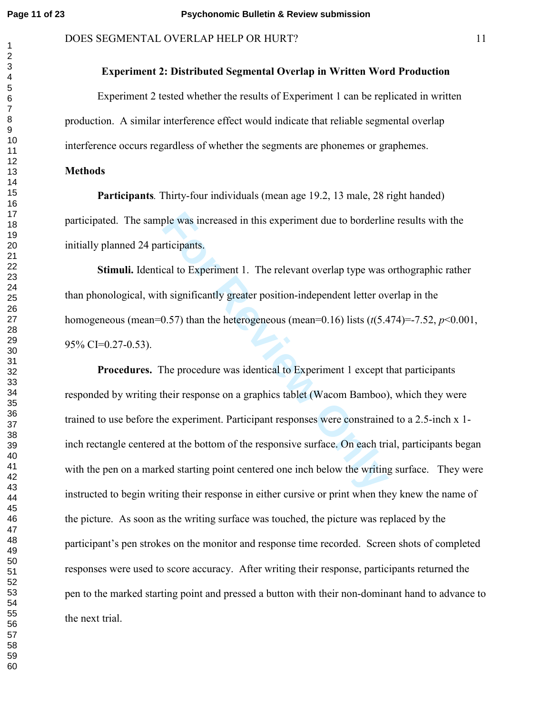$\mathbf{1}$ 

## DOES SEGMENTAL OVERLAP HELP OR HURT? 11

## **Experiment 2: Distributed Segmental Overlap in Written Word Production**

Experiment 2 tested whether the results of Experiment 1 can be replicated in written production. A similar interference effect would indicate that reliable segmental overlap interference occurs regardless of whether the segments are phonemes or graphemes.

### **Methods**

**Participants***.* Thirty-four individuals (mean age 19.2, 13 male, 28 right handed) participated. The sample was increased in this experiment due to borderline results with the initially planned 24 participants.

**Stimuli.** Identical to Experiment 1. The relevant overlap type was orthographic rather than phonological, with significantly greater position-independent letter overlap in the homogeneous (mean=0.57) than the heterogeneous (mean=0.16) lists ( *t*(5.474)=-7.52, *p*<0.001, 95% CI=0.27-0.53).

ple was increased in this experiment due to borderline<br>
rticipants.<br>
cal to Experiment 1. The relevant overlap type was a<br>
h significantly greater position-independent letter ov<br>
0.57) than the heterogeneous (mean=0.16) li **Procedures.** The procedure was identical to Experiment 1 except that participants responded by writing their response on a graphics tablet (Wacom Bamboo), which they were trained to use before the experiment. Participant responses were constrained to a 2.5-inch x 1 inch rectangle centered at the bottom of the responsive surface. On each trial, participants began with the pen on a marked starting point centered one inch below the writing surface. They were instructed to begin writing their response in either cursive or print when they knew the name of the picture. As soon as the writing surface was touched, the picture was replaced by the participant's pen strokes on the monitor and response time recorded. Screen shots of completed responses were used to score accuracy. After writing their response, participants returned the pen to the marked starting point and pressed a button with their non-dominant hand to advance to the next trial.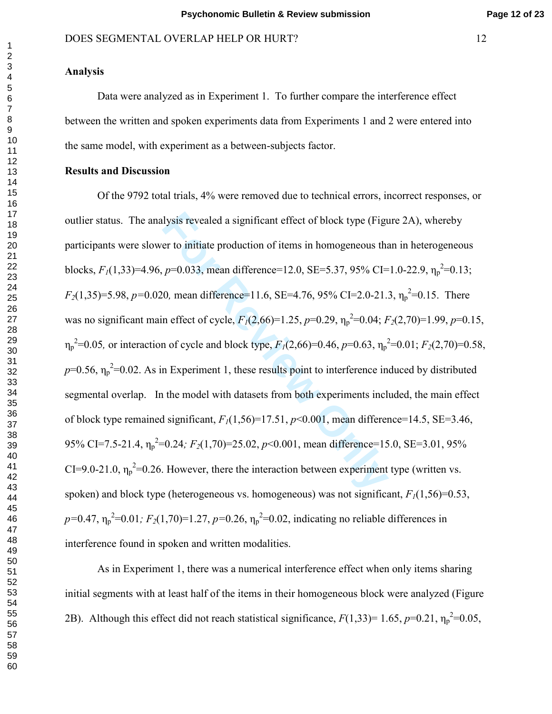## **Analysis**

Data were analyzed as in Experiment 1. To further compare the interference effect between the written and spoken experiments data from Experiments 1 and 2 were entered into the same model, with experiment as a between-subjects factor.

## **Results and Discussion**

lysis revealed a significant effect of block type (Figure to initiate production of items in homogeneous that  $p=0.033$ , mean difference=12.0, SE=5.37, 95% CI=0, mean difference=11.6, SE=4.76, 95% CI=2.0-21.<br>
n effect of Of the 9792 total trials, 4% were removed due to technical errors, incorrect responses, or outlier status. The analysis revealed a significant effect of block type (Figure 2A), whereby participants were slower to initiate production of items in homogeneous than in heterogeneous blocks,  $F_I(1,33)=4.96$ ,  $p=0.033$ , mean difference=12.0, SE=5.37, 95% CI=1.0-22.9,  $\eta_p^2=0.13$ ;  $F_2(1,35)=5.98, p=0.020$ , mean difference=11.6, SE=4.76, 95% CI=2.0-21.3,  $\eta_p^2$ =0.15. There was no significant main effect of cycle,  $F_I(2,66)=1.25$ ,  $p=0.29$ ,  $\eta_p^2=0.04$ ;  $F_2(2,70)=1.99$ ,  $p=0.15$ ,  $\eta_p^2$ =0.05, or interaction of cycle and block type,  $F_I(2,66)$ =0.46,  $p$ =0.63,  $\eta_p^2$ =0.01;  $F_2(2,70)$ =0.58,  $p=0.56$ ,  $\eta_p^2=0.02$ . As in Experiment 1, these results point to interference induced by distributed segmental overlap. In the model with datasets from both experiments included, the main effect of block type remained significant,  $F_I(1,56)=17.51$ ,  $p<0.001$ , mean difference=14.5, SE=3.46, 95% CI=7.5-21.4, η<sub>p</sub><sup>2</sup>=0.24; *F*<sub>2</sub>(1,70)=25.02, *p*<0.001, mean difference=15.0, SE=3.01, 95% CI=9.0-21.0,  $\eta_p^2$ =0.26. However, there the interaction between experiment type (written vs. spoken) and block type (heterogeneous vs. homogeneous) was not significant,  $F_I(1,56)=0.53$ ,  $p=0.47$ ,  $\eta_p^2=0.01$ ;  $F_2(1,70)=1.27$ ,  $p=0.26$ ,  $\eta_p^2=0.02$ , indicating no reliable differences in interference found in spoken and written modalities.

As in Experiment 1, there was a numerical interference effect when only items sharing initial segments with at least half of the items in their homogeneous block were analyzed (Figure 2B). Although this effect did not reach statistical significance,  $F(1,33)=1.65$ ,  $p=0.21$ ,  $\eta_p^2=0.05$ ,

 $\mathbf{1}$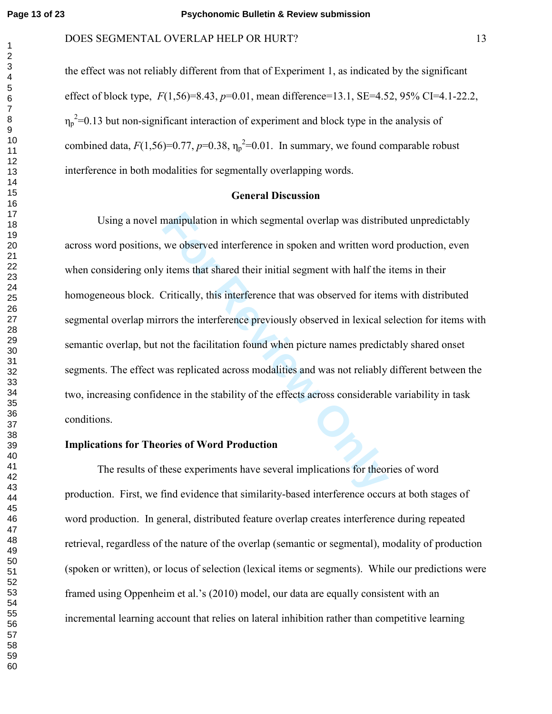the effect was not reliably different from that of Experiment 1, as indicated by the significant effect of block type, *F*(1,56)=8.43, *p*=0.01, mean difference=13.1, SE=4.52, 95% CI=4.1-22.2,  $\eta_p^2$ =0.13 but non-significant interaction of experiment and block type in the analysis of combined data,  $F(1,56)=0.77$ ,  $p=0.38$ ,  $\eta_p^2=0.01$ . In summary, we found comparable robust interference in both modalities for segmentally overlapping words.

### **General Discussion**

manipulation in which segmental overlap was distrib<br>we observed interference in spoken and written wor<br>items that shared their initial segment with half the<br>Critically, this interference that was observed for iter<br>rors the Using a novel manipulation in which segmental overlap was distributed unpredictably across word positions, we observed interference in spoken and written word production, even when considering only items that shared their initial segment with half the items in their homogeneous block. Critically, this interference that was observed for items with distributed segmental overlap mirrors the interference previously observed in lexical selection for items with semantic overlap, but not the facilitation found when picture names predictably shared onset segments. The effect was replicated across modalities and was not reliably different between the two, increasing confidence in the stability of the effects across considerable variability in task conditions.

## **Implications for Theories of Word Production**

The results of these experiments have several implications for theories of word production.First, we find evidence that similarity-based interference occurs at both stages of word production. In general, distributed feature overlap creates interference during repeated retrieval, regardless of the nature of the overlap (semantic or segmental), modality of production (spoken or written), or locus of selection (lexical items or segments). While our predictions were framed using Oppenheim et al.'s (2010) model, our data are equally consistent with an incremental learning account that relies on lateral inhibition rather than competitive learning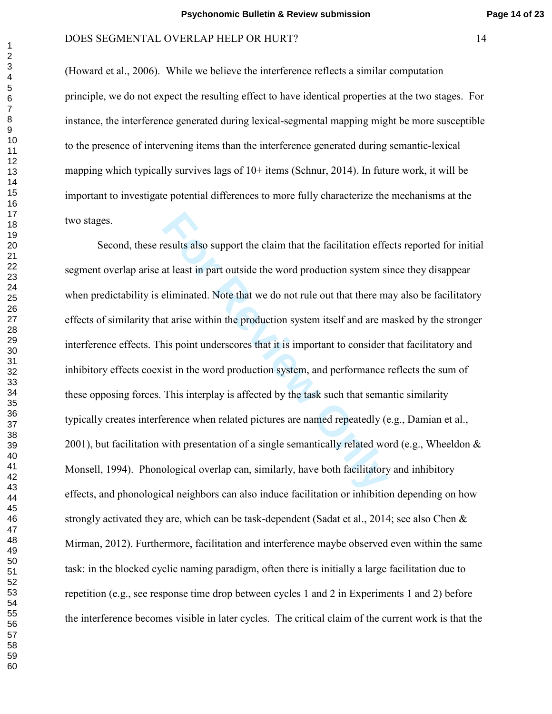(Howard et al., 2006). While we believe the interference reflects a similar computation principle, we do not expect the resulting effect to have identical properties at the two stages. For instance, the interference generated during lexical-segmental mapping might be more susceptible to the presence of intervening items than the interference generated during semantic-lexical mapping which typically survives lags of 10+ items (Schnur, 2014). In future work, it will be important to investigate potential differences to more fully characterize the mechanisms at the two stages.

results also support the claim that the facilitation effect<br>at least in part outside the word production system si<br>eliminated. Note that we do not rule out that there m-<br>at arise within the production system itself and are Second, these results also support the claim that the facilitation effects reported for initial segment overlap arise at least in part outside the word production system since they disappear when predictability is eliminated. Note that we do not rule out that there may also be facilitatory effects of similarity that arise within the production system itself and are masked by the stronger interference effects. This point underscores that it is important to consider that facilitatory and inhibitory effects coexist in the word production system, and performance reflects the sum of these opposing forces. This interplay is affected by the task such that semantic similarity typically creates interference when related pictures are named repeatedly (e.g., Damian et al., 2001), but facilitation with presentation of a single semantically related word (e.g., Wheeldon  $\&$ Monsell, 1994). Phonological overlap can, similarly, have both facilitatory and inhibitory effects, and phonological neighbors can also induce facilitation or inhibition depending on how strongly activated they are, which can be task-dependent (Sadat et al., 2014; see also Chen  $\&$ Mirman, 2012). Furthermore, facilitation and interference maybe observed even within the same task: in the blocked cyclic naming paradigm, often there is initially a large facilitation due to repetition (e.g., see response time drop between cycles 1 and 2 in Experiments 1 and 2) before the interference becomes visible in later cycles. The critical claim of the current work is that the

 $\mathbf{1}$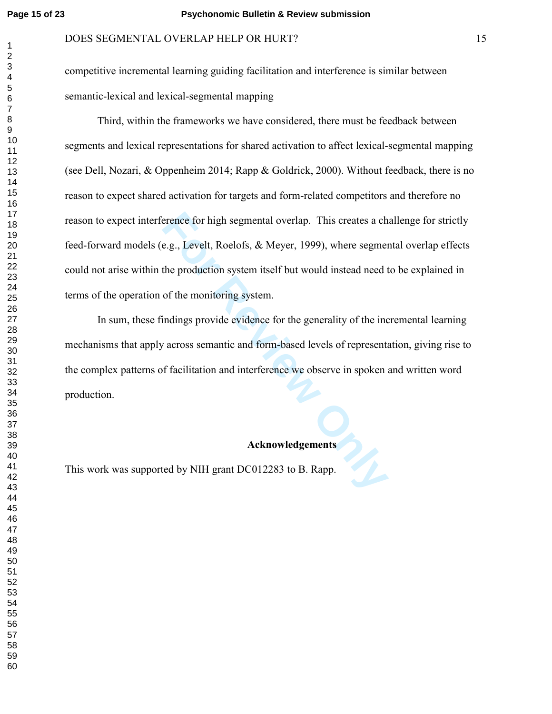competitive incremental learning guiding facilitation and interference is similar between semantic-lexical and lexical-segmental mapping

Frence for high segmental overlap. This creates a chearance for high segmental overlap. This creates a chearance experiment of the production system itself but would instead need to the monitoring system.<br>
Indings provide Third, within the frameworks we have considered, there must be feedback between segments and lexical representations for shared activation to affect lexical-segmental mapping (see Dell, Nozari, & Oppenheim 2014; Rapp & Goldrick, 2000). Without feedback, there is no reason to expect shared activation for targets and form-related competitors and therefore no reason to expect interference for high segmental overlap. This creates a challenge for strictly feed-forward models (e.g., Levelt, Roelofs, & Meyer, 1999), where segmental overlap effects could not arise within the production system itself but would instead need to be explained in terms of the operation of the monitoring system.

In sum, these findings provide evidence for the generality of the incremental learning mechanisms that apply across semantic and form-based levels of representation, giving rise to the complex patterns of facilitation and interference we observe in spoken and written word production.

## **Acknowledgements**

This work was supported by NIH grant DC012283 to B. Rapp.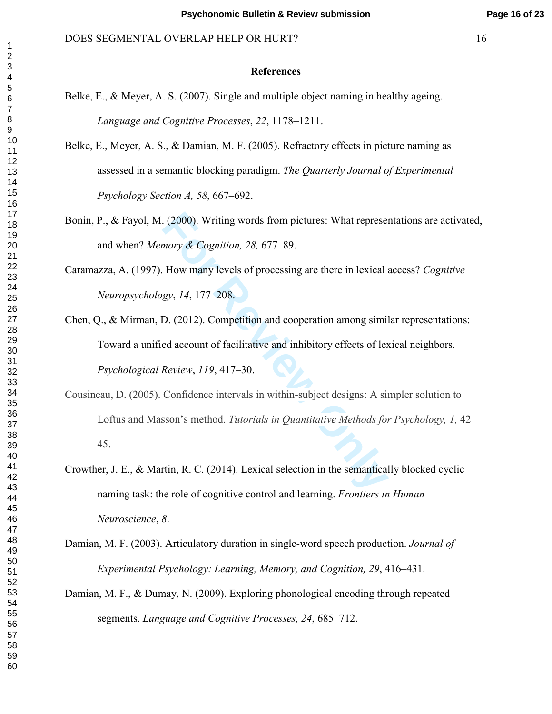### **References**

- Belke, E., & Meyer, A. S. (2007). Single and multiple object naming in healthy ageing. *Language and Cognitive Processes*, *22*, 1178–1211.
- Belke, E., Meyer, A. S., & Damian, M. F. (2005). Refractory effects in picture naming as assessed in a semantic blocking paradigm. *The Quarterly Journal of Experimental Psychology Section A, 58*, 667–692.
- Bonin, P., & Fayol, M. (2000). Writing words from pictures: What representations are activated, and when? *Memory & Cognition, 28,* 677–89.
- Caramazza, A. (1997). How many levels of processing are there in lexical access? *Cognitive Neuropsychology*, *14*, 177–208.
- Chen, Q., & Mirman, D. (2012). Competition and cooperation among similar representations: Toward a unified account of facilitative and inhibitory effects of lexical neighbors. *Psychological Review*, *119*, 417–30.
- 2000). Writing words from pictures: What represes *nory & Cognition, 28, 677–89*.<br>
How many levels of processing are there in lexical and gy, 14, 177–208.<br>
D. (2012). Competition and cooperation among similied account of Cousineau, D. (2005). Confidence intervals in within-subject designs: A simpler solution to Loftus and Masson's method. *Tutorials in Quantitative Methods for Psychology, 1 ,* 42– 45.
- Crowther, J. E., & Martin, R. C. (2014). Lexical selection in the semantically blocked cyclic naming task: the role of cognitive control and learning. *Frontiers in Human Neuroscience*, *8*.
- Damian, M. F. (2003). Articulatory duration in single-word speech production. *Journal of Experimental Psychology: Learning, Memory, and Cognition, 29*, 416–431.
- Damian, M. F., & Dumay, N. (2009). Exploring phonological encoding through repeated segments. *Language and Cognitive Processes, 24*, 685–712.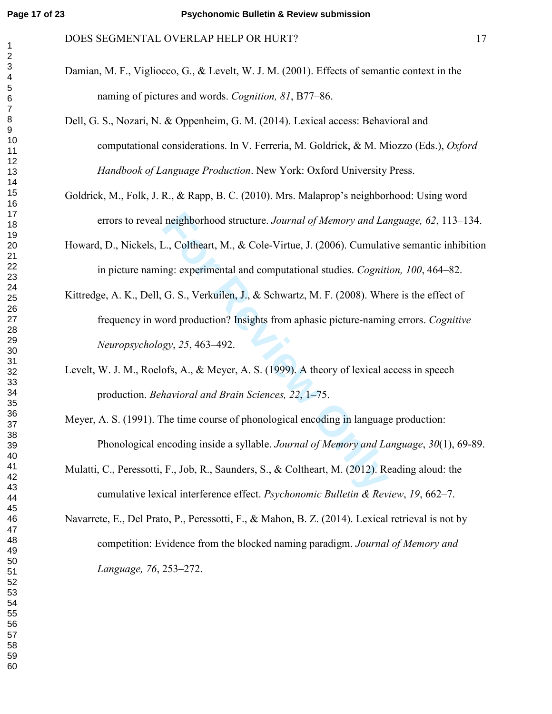- Damian, M. F., Vigliocco, G., & Levelt, W. J. M. (2001). Effects of semantic context in the naming of pictures and words. *Cognition, 81*, B77–86.
- Dell, G. S., Nozari, N. & Oppenheim, G. M. (2014). Lexical access: Behavioral and computational considerations. In V. Ferreria, M. Goldrick, & M. Miozzo (Eds.), *Oxford Handbook of Language Production*. New York: Oxford University Press.
- Goldrick, M., Folk, J. R., & Rapp, B. C. (2010). Mrs. Malaprop's neighborhood: Using word errors to reveal neighborhood structure. *Journal of Memory and Language, 62*, 113–134.
- Howard, D., Nickels, L., Coltheart, M., & Cole-Virtue, J. (2006). Cumulative semantic inhibition in picture naming: experimental and computational studies. *Cognition, 100*, 464–82.
- neighborhood structure. Journal of Memory and La.<br>
L., Coltheart, M., & Cole-Virtue, J. (2006). Cumulating: experimental and computational studies. Cogniti<br>
G. S., Verkuilen, J., & Schwartz, M. F. (2008). Where or producti Kittredge, A. K., Dell, G. S., Verkuilen, J., & Schwartz, M. F. (2008). Where is the effect of frequency in word production? Insights from aphasic picture-naming errors. *Cognitive Neuropsychology*, *25*, 463–492.
- Levelt, W. J. M., Roelofs, A., & Meyer, A. S. (1999). A theory of lexical access in speech production. *Behavioral and Brain Sciences, 22*, 1–75.
- Meyer, A. S. (1991). The time course of phonological encoding in language production: Phonological encoding inside a syllable. *Journal of Memory and Language*, *30*(1), 69-89.
- Mulatti, C., Peressotti, F., Job, R., Saunders, S., & Coltheart, M. (2012). Reading aloud: the cumulative lexical interference effect. *Psychonomic Bulletin & Review*, *19*, 662–7.
- Navarrete, E., Del Prato, P., Peressotti, F., & Mahon, B. Z. (2014). Lexical retrieval is not by competition: Evidence from the blocked naming paradigm. *Journal of Memory and Language, 76*, 253–272.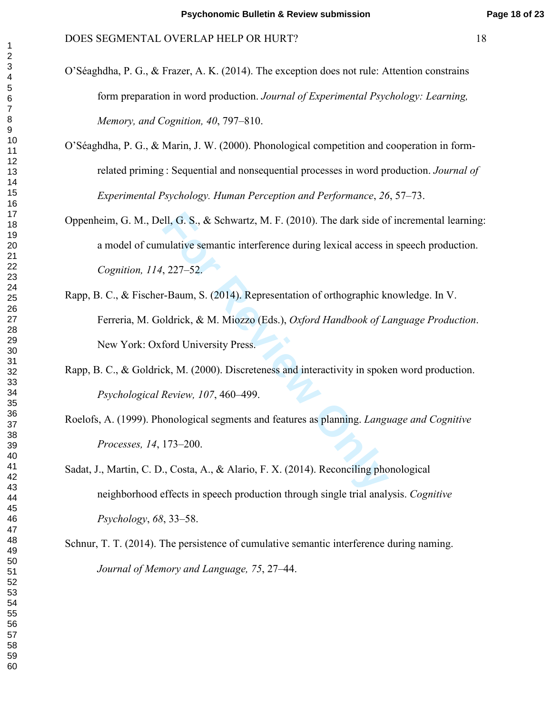- O'Séaghdha, P. G., & Frazer, A. K. (2014). The exception does not rule: Attention constrains form preparation in word production. *Journal of Experimental Psychology: Learning, Memory, and Cognition, 40*, 797–810.
- O'Séaghdha, P. G., & Marin, J. W. (2000). Phonological competition and cooperation in formrelated priming : Sequential and nonsequential processes in word production. *Journal of Experimental Psychology. Human Perception and Performance*, *26*, 57–73.
- For Review, M. F. (2010). The dark side of<br>
uulative semantic interference during lexical access is<br>
1927–52.<br> **For Formantic interference during lexical access is**<br>
1927–52.<br> **For Review, S. (2014). Representation of orth** Oppenheim, G. M., Dell, G. S., & Schwartz, M. F. (2010). The dark side of incremental learning: a model of cumulative semantic interference during lexical access in speech production. *Cognition, 114*, 227–52.
- Rapp, B. C., & Fischer-Baum, S. (2014). Representation of orthographic knowledge. In V. Ferreria, M. Goldrick, & M. Miozzo (Eds.), *Oxford Handbook of Language Production*. New York: Oxford University Press.
- Rapp, B. C., & Goldrick, M. (2000). Discreteness and interactivity in spoken word production. *Psychological Review, 107*, 460–499.
- Roelofs, A. (1999). Phonological segments and features as planning. *Language and Cognitive Processes, 14*, 173–200.
- Sadat, J., Martin, C. D., Costa, A., & Alario, F. X. (2014). Reconciling phonological neighborhood effects in speech production through single trial analysis. *Cognitive Psychology*, *68*, 33–58.
- Schnur, T. T. (2014). The persistence of cumulative semantic interference during naming. *Journal of Memory and Language, 75*, 27–44.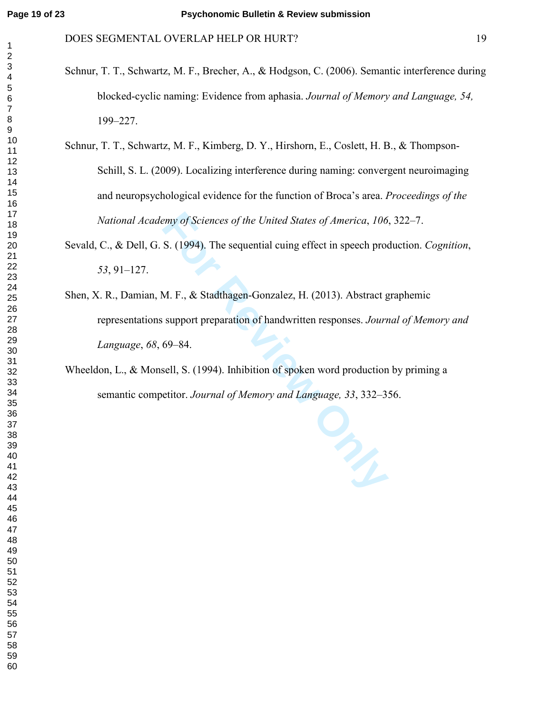- Schnur, T. T., Schwartz, M. F., Brecher, A., & Hodgson, C. (2006). Semantic interference during blocked-cyclic naming: Evidence from aphasia. *Journal of Memory and Language, 54,*  199–227.
- Schnur, T. T., Schwartz, M. F., Kimberg, D. Y., Hirshorn, E., Coslett, H. B., & Thompson-Schill, S. L. (2009). Localizing interference during naming: convergent neuroimaging and neuropsychological evidence for the function of Broca's area. *Proceedings of the National Academy of Sciences of the United States of America*, *106*, 322–7.
- Sevald, C., & Dell, G. S. (1994). The sequential cuing effect in speech production. *Cognition*, , 91–127.
- For Properties of the United States of America, 106<br> **S.** (1994). The sequential cuing effect in speech proof<br>
M. F., & Stadthagen-Gonzalez, H. (2013). Abstract g<br>
support preparation of handwritten responses. *Journ*<br>
69– Shen, X. R., Damian, M. F., & Stadthagen-Gonzalez, H. (2013). Abstract graphemic representations support preparation of handwritten responses. *Journal of Memory and Language*, *68*, 69–84.
- Wheeldon, L., & Monsell, S. (1994). Inhibition of spoken word production by priming a semantic competitor. *Journal of Memory and Language, 33*, 332–356.

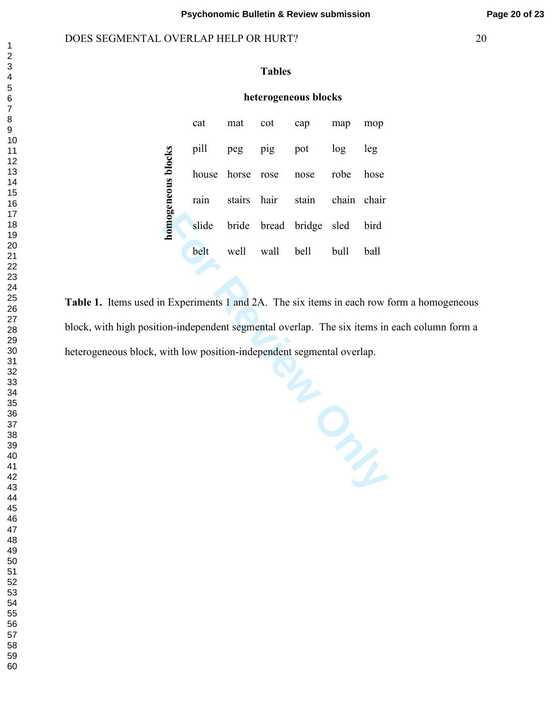### Psychonomic Bulletin & Review submission **Page 20 of 23**

#### DOES SEGMENTAL OVERLAP HELP OR HURT? 20

## **Tables**

## **heterogeneous blocks**

|                       | cat   | mat   | cot         | cap                           | map  | mop  |
|-----------------------|-------|-------|-------------|-------------------------------|------|------|
| ocks<br>omogeneous bl | pill  |       | peg pig pot |                               | log  | leg  |
|                       | house | horse | rose        | nose                          | robe | hose |
|                       | rain  |       |             | stairs hair stain chain chair |      |      |
|                       | slide |       |             | bride bread bridge sled       |      | bird |
|                       | belt  | well  | wall        | bell                          | bull | ball |

Finants 1 and 2A. The six items in each row form<br> **For Review Algorithm Superior September 2014**<br> *For Review position-independent segmental overlap.* Table 1. Items used in Experiments 1 and 2A. The six items in each row form a homogeneous block, with high position-independent segmental overlap. The six items in each column form a heterogeneous block, with low position-independent segmental overlap.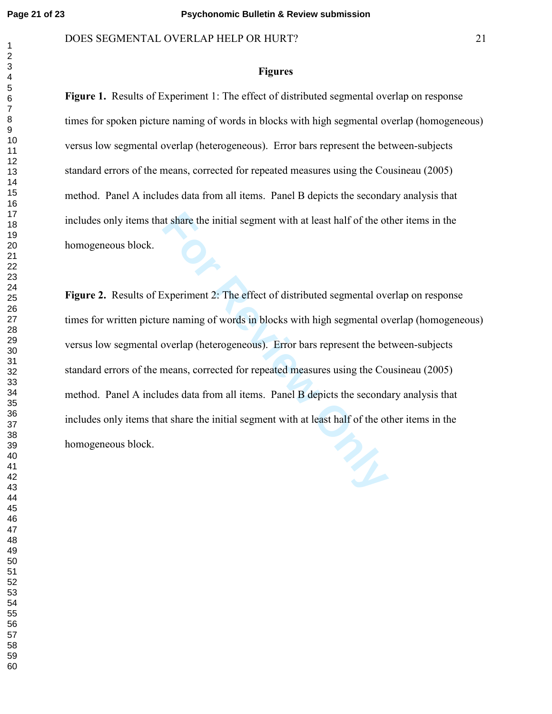## **Figures**

**Figure 1.** Results of Experiment 1: The effect of distributed segmental overlap on response times for spoken picture naming of words in blocks with high segmental overlap (homogeneous) versus low segmental overlap (heterogeneous). Error bars represent the between-subjects standard errors of the means, corrected for repeated measures using the Cousineau (2005) method. Panel A includes data from all items. Panel B depicts the secondary analysis that includes only items that share the initial segment with at least half of the other items in the homogeneous block.

It share the initial segment with at least half of the ot<br>Experiment 2: The effect of distributed segmental over<br>rearching of words in blocks with high segmental over<br>lap (heterogeneous). Error bars represent the be<br>neans, **Figure 2.** Results of Experiment 2: The effect of distributed segmental overlap on response times for written picture naming of words in blocks with high segmental overlap (homogeneous) versus low segmental overlap (heterogeneous). Error bars represent the between-subjects standard errors of the means, corrected for repeated measures using the Cousineau (2005) method. Panel A includes data from all items. Panel B depicts the secondary analysis that includes only items that share the initial segment with at least half of the other items in the homogeneous block.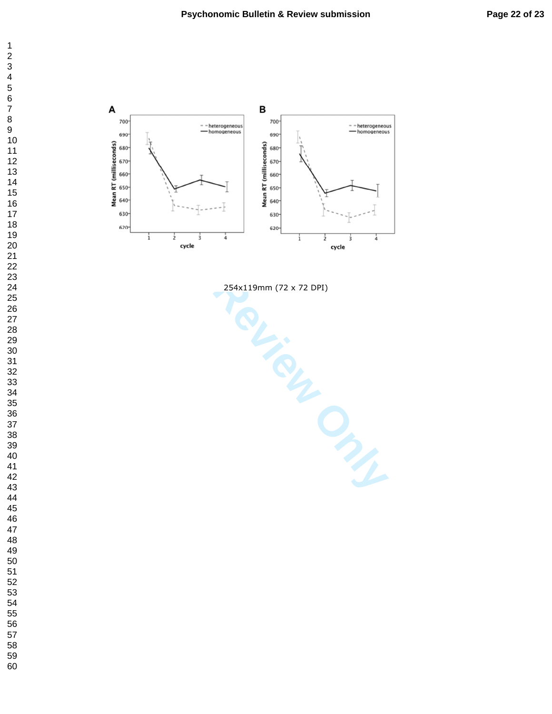

254x119mm (72 x 72 DPI)

 $\frac{1}{2}$  over  $\frac{1}{2}$ <br>  $\frac{1}{2}$  over  $\frac{1}{2}$ <br>  $\frac{1}{2}$  over  $\frac{1}{2}$ <br>  $\frac{1}{2}$  over  $\frac{1}{2}$ <br>  $\frac{1}{2}$ <br>  $\frac{1}{2}$ <br>  $\frac{1}{2}$ <br>  $\frac{1}{2}$ <br>  $\frac{1}{2}$ <br>  $\frac{1}{2}$ <br>  $\frac{1}{2}$ <br>  $\frac{1}{2}$ <br>  $\frac{1}{2}$ <br>  $\frac{1}{2}$ <br>  $\frac{1}{2$